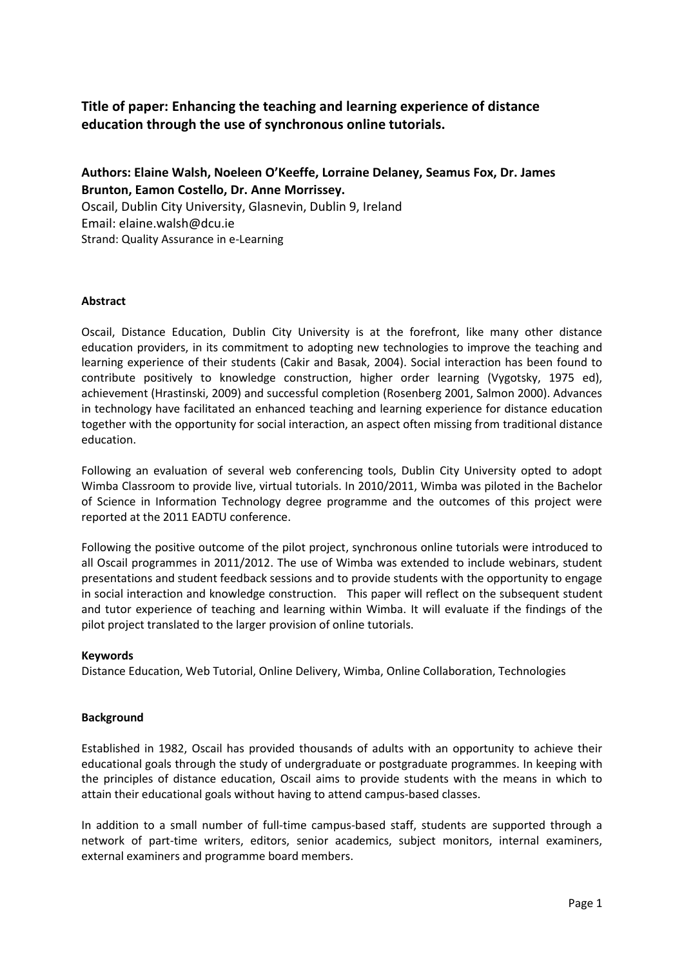# **Title of paper: Enhancing the teaching and learning experience of distance education through the use of synchronous online tutorials.**

**Authors: Elaine Walsh, Noeleen O'Keeffe, Lorraine Delaney, Seamus Fox, Dr. James Brunton, Eamon Costello, Dr. Anne Morrissey.**

Oscail, Dublin City University, Glasnevin, Dublin 9, Ireland Email: elaine.walsh@dcu.ie Strand: Quality Assurance in e-Learning

## **Abstract**

Oscail, Distance Education, Dublin City University is at the forefront, like many other distance education providers, in its commitment to adopting new technologies to improve the teaching and learning experience of their students (Cakir and Basak, 2004). Social interaction has been found to contribute positively to knowledge construction, higher order learning (Vygotsky, 1975 ed), achievement (Hrastinski, 2009) and successful completion (Rosenberg 2001, Salmon 2000). Advances in technology have facilitated an enhanced teaching and learning experience for distance education together with the opportunity for social interaction, an aspect often missing from traditional distance education.

Following an evaluation of several web conferencing tools, Dublin City University opted to adopt Wimba Classroom to provide live, virtual tutorials. In 2010/2011, Wimba was piloted in the Bachelor of Science in Information Technology degree programme and the outcomes of this project were reported at the 2011 EADTU conference.

Following the positive outcome of the pilot project, synchronous online tutorials were introduced to all Oscail programmes in 2011/2012. The use of Wimba was extended to include webinars, student presentations and student feedback sessions and to provide students with the opportunity to engage in social interaction and knowledge construction. This paper will reflect on the subsequent student and tutor experience of teaching and learning within Wimba. It will evaluate if the findings of the pilot project translated to the larger provision of online tutorials.

## **Keywords**

Distance Education, Web Tutorial, Online Delivery, Wimba, Online Collaboration, Technologies

## **Background**

Established in 1982, Oscail has provided thousands of adults with an opportunity to achieve their educational goals through the study of undergraduate or postgraduate programmes. In keeping with the principles of distance education, Oscail aims to provide students with the means in which to attain their educational goals without having to attend campus-based classes.

In addition to a small number of full-time campus-based staff, students are supported through a network of part-time writers, editors, senior academics, subject monitors, internal examiners, external examiners and programme board members.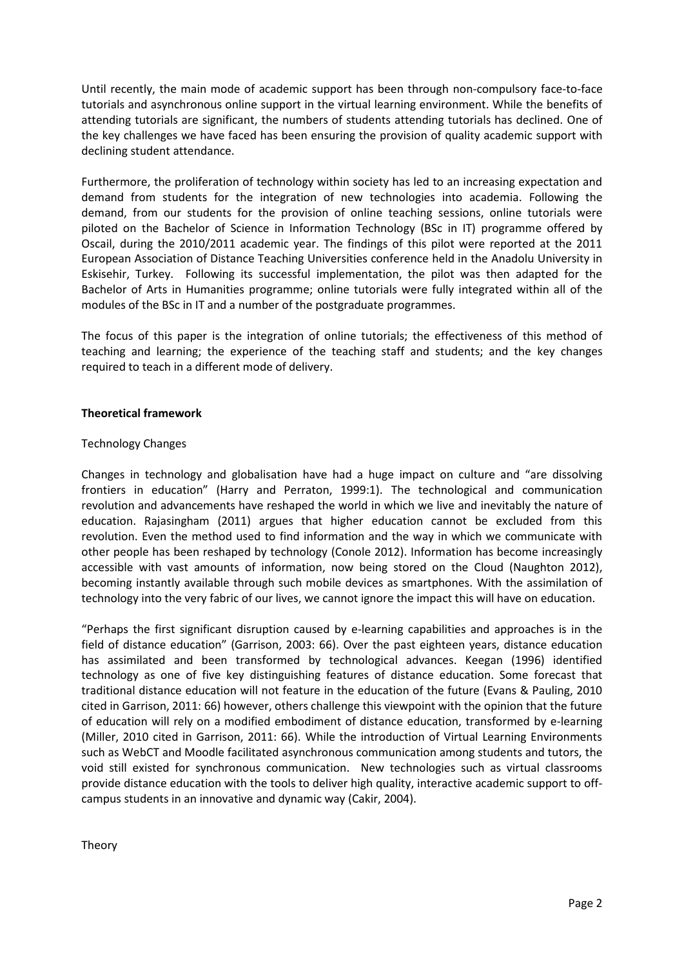Until recently, the main mode of academic support has been through non-compulsory face-to-face tutorials and asynchronous online support in the virtual learning environment. While the benefits of attending tutorials are significant, the numbers of students attending tutorials has declined. One of the key challenges we have faced has been ensuring the provision of quality academic support with declining student attendance.

Furthermore, the proliferation of technology within society has led to an increasing expectation and demand from students for the integration of new technologies into academia. Following the demand, from our students for the provision of online teaching sessions, online tutorials were piloted on the Bachelor of Science in Information Technology (BSc in IT) programme offered by Oscail, during the 2010/2011 academic year. The findings of this pilot were reported at the 2011 European Association of Distance Teaching Universities conference held in the Anadolu University in Eskisehir, Turkey. Following its successful implementation, the pilot was then adapted for the Bachelor of Arts in Humanities programme; online tutorials were fully integrated within all of the modules of the BSc in IT and a number of the postgraduate programmes.

The focus of this paper is the integration of online tutorials; the effectiveness of this method of teaching and learning; the experience of the teaching staff and students; and the key changes required to teach in a different mode of delivery.

## **Theoretical framework**

## Technology Changes

Changes in technology and globalisation have had a huge impact on culture and "are dissolving frontiers in education" (Harry and Perraton, 1999:1). The technological and communication revolution and advancements have reshaped the world in which we live and inevitably the nature of education. Rajasingham (2011) argues that higher education cannot be excluded from this revolution. Even the method used to find information and the way in which we communicate with other people has been reshaped by technology (Conole 2012). Information has become increasingly accessible with vast amounts of information, now being stored on the Cloud (Naughton 2012), becoming instantly available through such mobile devices as smartphones. With the assimilation of technology into the very fabric of our lives, we cannot ignore the impact this will have on education.

"Perhaps the first significant disruption caused by e-learning capabilities and approaches is in the field of distance education" (Garrison, 2003: 66). Over the past eighteen years, distance education has assimilated and been transformed by technological advances. Keegan (1996) identified technology as one of five key distinguishing features of distance education. Some forecast that traditional distance education will not feature in the education of the future (Evans & Pauling, 2010 cited in Garrison, 2011: 66) however, others challenge this viewpoint with the opinion that the future of education will rely on a modified embodiment of distance education, transformed by e-learning (Miller, 2010 cited in Garrison, 2011: 66). While the introduction of Virtual Learning Environments such as WebCT and Moodle facilitated asynchronous communication among students and tutors, the void still existed for synchronous communication. New technologies such as virtual classrooms provide distance education with the tools to deliver high quality, interactive academic support to offcampus students in an innovative and dynamic way (Cakir, 2004).

Theory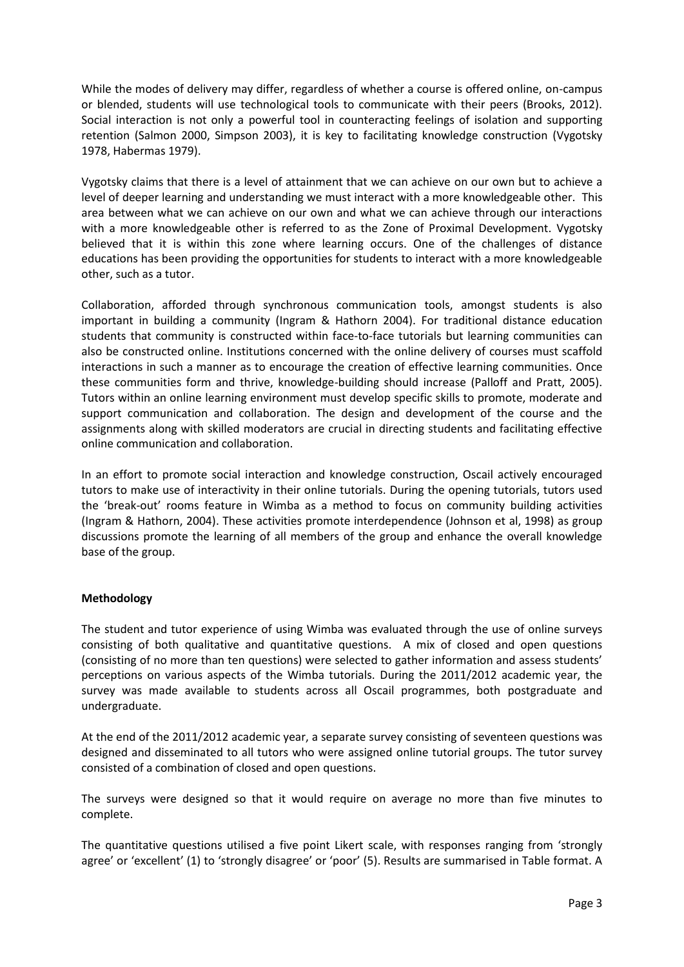While the modes of delivery may differ, regardless of whether a course is offered online, on-campus or blended, students will use technological tools to communicate with their peers (Brooks, 2012). Social interaction is not only a powerful tool in counteracting feelings of isolation and supporting retention (Salmon 2000, Simpson 2003), it is key to facilitating knowledge construction (Vygotsky 1978, Habermas 1979).

Vygotsky claims that there is a level of attainment that we can achieve on our own but to achieve a level of deeper learning and understanding we must interact with a more knowledgeable other. This area between what we can achieve on our own and what we can achieve through our interactions with a more knowledgeable other is referred to as the Zone of Proximal Development. Vygotsky believed that it is within this zone where learning occurs. One of the challenges of distance educations has been providing the opportunities for students to interact with a more knowledgeable other, such as a tutor.

Collaboration, afforded through synchronous communication tools, amongst students is also important in building a community (Ingram & Hathorn 2004). For traditional distance education students that community is constructed within face-to-face tutorials but learning communities can also be constructed online. Institutions concerned with the online delivery of courses must scaffold interactions in such a manner as to encourage the creation of effective learning communities. Once these communities form and thrive, knowledge-building should increase (Palloff and Pratt, 2005). Tutors within an online learning environment must develop specific skills to promote, moderate and support communication and collaboration. The design and development of the course and the assignments along with skilled moderators are crucial in directing students and facilitating effective online communication and collaboration.

In an effort to promote social interaction and knowledge construction, Oscail actively encouraged tutors to make use of interactivity in their online tutorials. During the opening tutorials, tutors used the 'break-out' rooms feature in Wimba as a method to focus on community building activities (Ingram & Hathorn, 2004). These activities promote interdependence (Johnson et al, 1998) as group discussions promote the learning of all members of the group and enhance the overall knowledge base of the group.

## **Methodology**

The student and tutor experience of using Wimba was evaluated through the use of online surveys consisting of both qualitative and quantitative questions. A mix of closed and open questions (consisting of no more than ten questions) were selected to gather information and assess students' perceptions on various aspects of the Wimba tutorials. During the 2011/2012 academic year, the survey was made available to students across all Oscail programmes, both postgraduate and undergraduate.

At the end of the 2011/2012 academic year, a separate survey consisting of seventeen questions was designed and disseminated to all tutors who were assigned online tutorial groups. The tutor survey consisted of a combination of closed and open questions.

The surveys were designed so that it would require on average no more than five minutes to complete.

The quantitative questions utilised a five point Likert scale, with responses ranging from 'strongly agree' or 'excellent' (1) to 'strongly disagree' or 'poor' (5). Results are summarised in Table format. A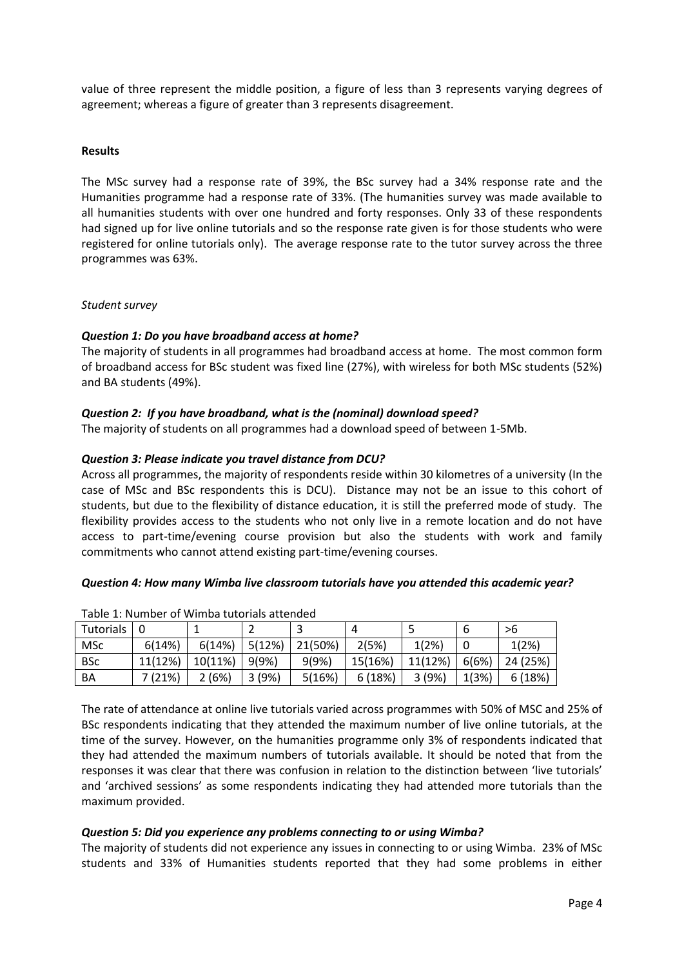value of three represent the middle position, a figure of less than 3 represents varying degrees of agreement; whereas a figure of greater than 3 represents disagreement.

## **Results**

The MSc survey had a response rate of 39%, the BSc survey had a 34% response rate and the Humanities programme had a response rate of 33%. (The humanities survey was made available to all humanities students with over one hundred and forty responses. Only 33 of these respondents had signed up for live online tutorials and so the response rate given is for those students who were registered for online tutorials only). The average response rate to the tutor survey across the three programmes was 63%.

## *Student survey*

## *Question 1: Do you have broadband access at home?*

The majority of students in all programmes had broadband access at home. The most common form of broadband access for BSc student was fixed line (27%), with wireless for both MSc students (52%) and BA students (49%).

# *Question 2: If you have broadband, what is the (nominal) download speed?*

The majority of students on all programmes had a download speed of between 1-5Mb.

## *Question 3: Please indicate you travel distance from DCU?*

Across all programmes, the majority of respondents reside within 30 kilometres of a university (In the case of MSc and BSc respondents this is DCU). Distance may not be an issue to this cohort of students, but due to the flexibility of distance education, it is still the preferred mode of study. The flexibility provides access to the students who not only live in a remote location and do not have access to part-time/evening course provision but also the students with work and family commitments who cannot attend existing part-time/evening courses.

## *Question 4: How many Wimba live classroom tutorials have you attended this academic year?*

| Tutorials  |         |         |        |         | Д       | э       |       | >6       |
|------------|---------|---------|--------|---------|---------|---------|-------|----------|
| MSc        | 6(14%)  | 6(14%)  | 5(12%) | 21(50%) | 2(5%)   | 1(2%)   |       | 1(2%)    |
| <b>BSc</b> | 11(12%) | 10(11%) | 9(9%)  | 9(9%)   | 15(16%) | 11(12%) | 6(6%) | 24 (25%) |
| BA         | 7(21%)  | 2(6%)   | 3(9%)  | 5(16%)  | 6(18%)  | 3(9%)   | 1(3%) | 6(18%)   |

Table 1: Number of Wimba tutorials attended

The rate of attendance at online live tutorials varied across programmes with 50% of MSC and 25% of BSc respondents indicating that they attended the maximum number of live online tutorials, at the time of the survey. However, on the humanities programme only 3% of respondents indicated that they had attended the maximum numbers of tutorials available. It should be noted that from the responses it was clear that there was confusion in relation to the distinction between 'live tutorials' and 'archived sessions' as some respondents indicating they had attended more tutorials than the maximum provided.

## *Question 5: Did you experience any problems connecting to or using Wimba?*

The majority of students did not experience any issues in connecting to or using Wimba. 23% of MSc students and 33% of Humanities students reported that they had some problems in either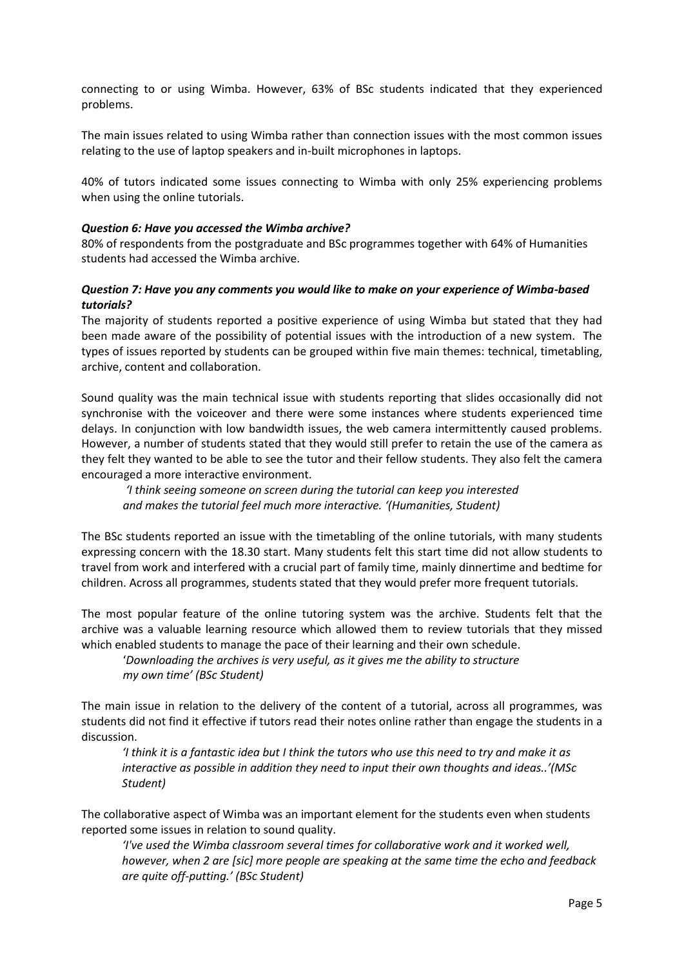connecting to or using Wimba. However, 63% of BSc students indicated that they experienced problems.

The main issues related to using Wimba rather than connection issues with the most common issues relating to the use of laptop speakers and in-built microphones in laptops.

40% of tutors indicated some issues connecting to Wimba with only 25% experiencing problems when using the online tutorials.

## *Question 6: Have you accessed the Wimba archive?*

80% of respondents from the postgraduate and BSc programmes together with 64% of Humanities students had accessed the Wimba archive.

## *Question 7: Have you any comments you would like to make on your experience of Wimba-based tutorials?*

The majority of students reported a positive experience of using Wimba but stated that they had been made aware of the possibility of potential issues with the introduction of a new system. The types of issues reported by students can be grouped within five main themes: technical, timetabling, archive, content and collaboration.

Sound quality was the main technical issue with students reporting that slides occasionally did not synchronise with the voiceover and there were some instances where students experienced time delays. In conjunction with low bandwidth issues, the web camera intermittently caused problems. However, a number of students stated that they would still prefer to retain the use of the camera as they felt they wanted to be able to see the tutor and their fellow students. They also felt the camera encouraged a more interactive environment.

*'I think seeing someone on screen during the tutorial can keep you interested and makes the tutorial feel much more interactive. '(Humanities, Student)*

The BSc students reported an issue with the timetabling of the online tutorials, with many students expressing concern with the 18.30 start. Many students felt this start time did not allow students to travel from work and interfered with a crucial part of family time, mainly dinnertime and bedtime for children. Across all programmes, students stated that they would prefer more frequent tutorials.

The most popular feature of the online tutoring system was the archive. Students felt that the archive was a valuable learning resource which allowed them to review tutorials that they missed which enabled students to manage the pace of their learning and their own schedule.

'*Downloading the archives is very useful, as it gives me the ability to structure my own time' (BSc Student)*

The main issue in relation to the delivery of the content of a tutorial, across all programmes, was students did not find it effective if tutors read their notes online rather than engage the students in a discussion.

*'I think it is a fantastic idea but I think the tutors who use this need to try and make it as interactive as possible in addition they need to input their own thoughts and ideas..'(MSc Student)*

The collaborative aspect of Wimba was an important element for the students even when students reported some issues in relation to sound quality.

*'I've used the Wimba classroom several times for collaborative work and it worked well, however, when 2 are [sic] more people are speaking at the same time the echo and feedback are quite off-putting.' (BSc Student)*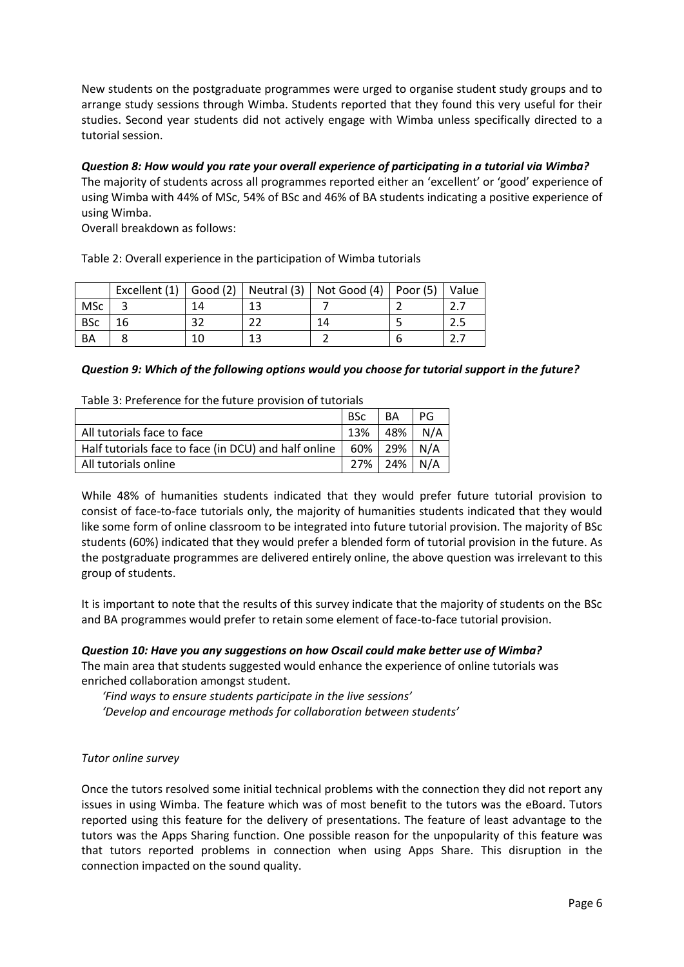New students on the postgraduate programmes were urged to organise student study groups and to arrange study sessions through Wimba. Students reported that they found this very useful for their studies. Second year students did not actively engage with Wimba unless specifically directed to a tutorial session.

*Question 8: How would you rate your overall experience of participating in a tutorial via Wimba?* The majority of students across all programmes reported either an 'excellent' or 'good' experience of using Wimba with 44% of MSc, 54% of BSc and 46% of BA students indicating a positive experience of using Wimba.

Overall breakdown as follows:

Table 2: Overall experience in the participation of Wimba tutorials

|            | Excellent $(1)$ |       | Good (2)   Neutral (3)   Not Good (4)   Poor (5)   Value |  |
|------------|-----------------|-------|----------------------------------------------------------|--|
| MSc        |                 | $-12$ |                                                          |  |
| <b>BSc</b> |                 |       | 14                                                       |  |
| BA         |                 | 12    |                                                          |  |

## *Question 9: Which of the following options would you choose for tutorial support in the future?*

Table 3: Preference for the future provision of tutorials

|                                                      | <b>BSc</b>  | BA              | PG  |
|------------------------------------------------------|-------------|-----------------|-----|
| All tutorials face to face                           | 13%         | 48%             | N/A |
| Half tutorials face to face (in DCU) and half online |             | 60%   29%   N/A |     |
| All tutorials online                                 | 27% 24% N/A |                 |     |

While 48% of humanities students indicated that they would prefer future tutorial provision to consist of face-to-face tutorials only, the majority of humanities students indicated that they would like some form of online classroom to be integrated into future tutorial provision. The majority of BSc students (60%) indicated that they would prefer a blended form of tutorial provision in the future. As the postgraduate programmes are delivered entirely online, the above question was irrelevant to this group of students.

It is important to note that the results of this survey indicate that the majority of students on the BSc and BA programmes would prefer to retain some element of face-to-face tutorial provision.

## *Question 10: Have you any suggestions on how Oscail could make better use of Wimba?*

The main area that students suggested would enhance the experience of online tutorials was enriched collaboration amongst student.

*'Find ways to ensure students participate in the live sessions'*

*'Develop and encourage methods for collaboration between students'*

## *Tutor online survey*

Once the tutors resolved some initial technical problems with the connection they did not report any issues in using Wimba. The feature which was of most benefit to the tutors was the eBoard. Tutors reported using this feature for the delivery of presentations. The feature of least advantage to the tutors was the Apps Sharing function. One possible reason for the unpopularity of this feature was that tutors reported problems in connection when using Apps Share. This disruption in the connection impacted on the sound quality.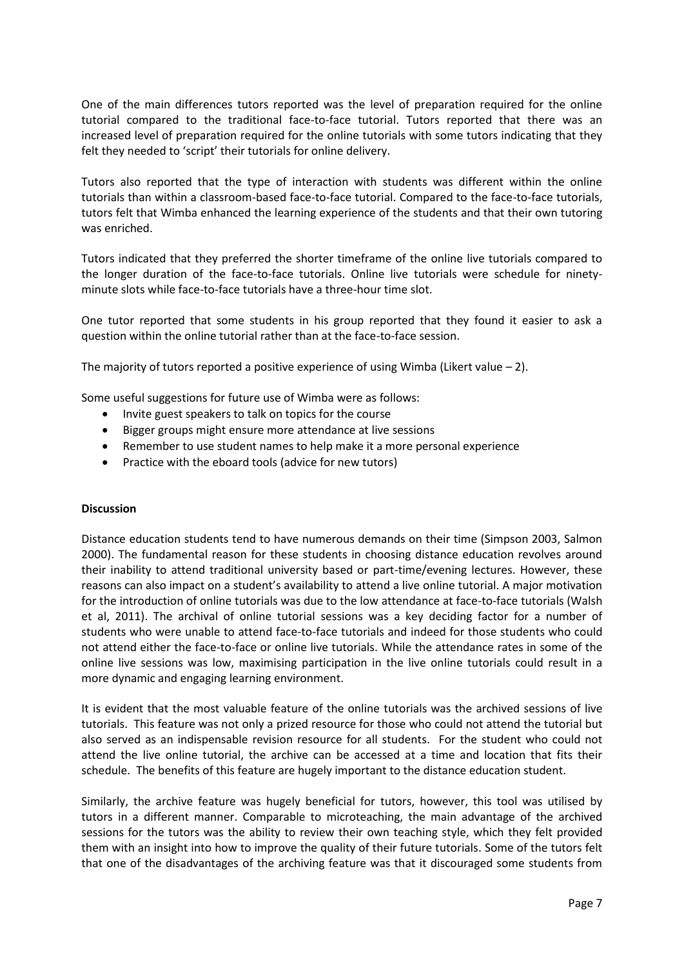One of the main differences tutors reported was the level of preparation required for the online tutorial compared to the traditional face-to-face tutorial. Tutors reported that there was an increased level of preparation required for the online tutorials with some tutors indicating that they felt they needed to 'script' their tutorials for online delivery.

Tutors also reported that the type of interaction with students was different within the online tutorials than within a classroom-based face-to-face tutorial. Compared to the face-to-face tutorials, tutors felt that Wimba enhanced the learning experience of the students and that their own tutoring was enriched.

Tutors indicated that they preferred the shorter timeframe of the online live tutorials compared to the longer duration of the face-to-face tutorials. Online live tutorials were schedule for ninetyminute slots while face-to-face tutorials have a three-hour time slot.

One tutor reported that some students in his group reported that they found it easier to ask a question within the online tutorial rather than at the face-to-face session.

The majority of tutors reported a positive experience of using Wimba (Likert value  $-2$ ).

Some useful suggestions for future use of Wimba were as follows:

- Invite guest speakers to talk on topics for the course
- Bigger groups might ensure more attendance at live sessions
- Remember to use student names to help make it a more personal experience
- Practice with the eboard tools (advice for new tutors)

#### **Discussion**

Distance education students tend to have numerous demands on their time (Simpson 2003, Salmon 2000). The fundamental reason for these students in choosing distance education revolves around their inability to attend traditional university based or part-time/evening lectures. However, these reasons can also impact on a student's availability to attend a live online tutorial. A major motivation for the introduction of online tutorials was due to the low attendance at face-to-face tutorials (Walsh et al, 2011). The archival of online tutorial sessions was a key deciding factor for a number of students who were unable to attend face-to-face tutorials and indeed for those students who could not attend either the face-to-face or online live tutorials. While the attendance rates in some of the online live sessions was low, maximising participation in the live online tutorials could result in a more dynamic and engaging learning environment.

It is evident that the most valuable feature of the online tutorials was the archived sessions of live tutorials. This feature was not only a prized resource for those who could not attend the tutorial but also served as an indispensable revision resource for all students. For the student who could not attend the live online tutorial, the archive can be accessed at a time and location that fits their schedule. The benefits of this feature are hugely important to the distance education student.

Similarly, the archive feature was hugely beneficial for tutors, however, this tool was utilised by tutors in a different manner. Comparable to microteaching, the main advantage of the archived sessions for the tutors was the ability to review their own teaching style, which they felt provided them with an insight into how to improve the quality of their future tutorials. Some of the tutors felt that one of the disadvantages of the archiving feature was that it discouraged some students from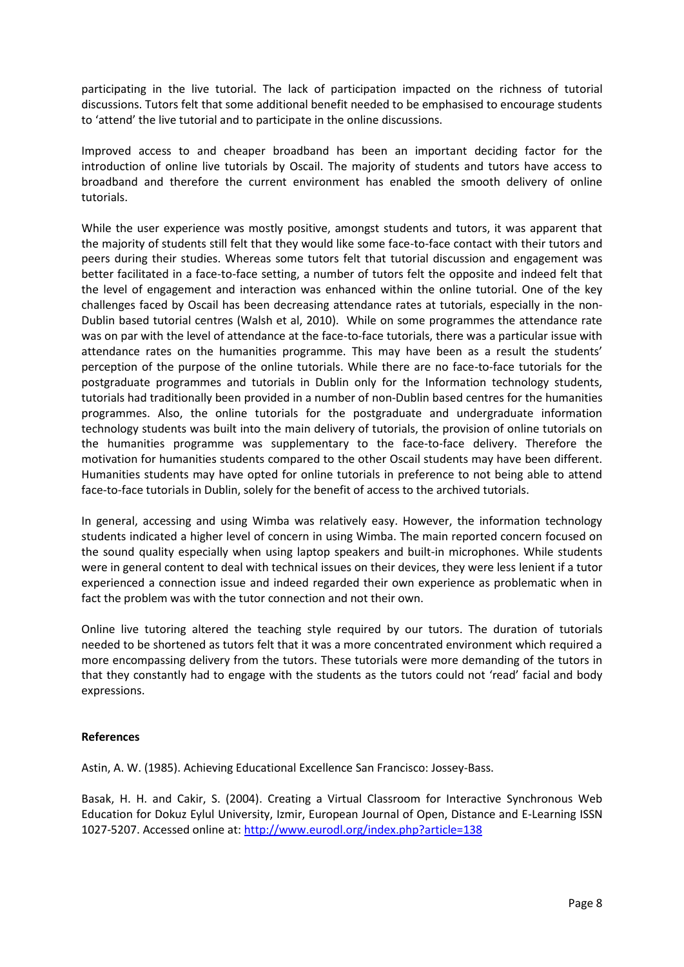participating in the live tutorial. The lack of participation impacted on the richness of tutorial discussions. Tutors felt that some additional benefit needed to be emphasised to encourage students to 'attend' the live tutorial and to participate in the online discussions.

Improved access to and cheaper broadband has been an important deciding factor for the introduction of online live tutorials by Oscail. The majority of students and tutors have access to broadband and therefore the current environment has enabled the smooth delivery of online tutorials.

While the user experience was mostly positive, amongst students and tutors, it was apparent that the majority of students still felt that they would like some face-to-face contact with their tutors and peers during their studies. Whereas some tutors felt that tutorial discussion and engagement was better facilitated in a face-to-face setting, a number of tutors felt the opposite and indeed felt that the level of engagement and interaction was enhanced within the online tutorial. One of the key challenges faced by Oscail has been decreasing attendance rates at tutorials, especially in the non-Dublin based tutorial centres (Walsh et al, 2010). While on some programmes the attendance rate was on par with the level of attendance at the face-to-face tutorials, there was a particular issue with attendance rates on the humanities programme. This may have been as a result the students' perception of the purpose of the online tutorials. While there are no face-to-face tutorials for the postgraduate programmes and tutorials in Dublin only for the Information technology students, tutorials had traditionally been provided in a number of non-Dublin based centres for the humanities programmes. Also, the online tutorials for the postgraduate and undergraduate information technology students was built into the main delivery of tutorials, the provision of online tutorials on the humanities programme was supplementary to the face-to-face delivery. Therefore the motivation for humanities students compared to the other Oscail students may have been different. Humanities students may have opted for online tutorials in preference to not being able to attend face-to-face tutorials in Dublin, solely for the benefit of access to the archived tutorials.

In general, accessing and using Wimba was relatively easy. However, the information technology students indicated a higher level of concern in using Wimba. The main reported concern focused on the sound quality especially when using laptop speakers and built-in microphones. While students were in general content to deal with technical issues on their devices, they were less lenient if a tutor experienced a connection issue and indeed regarded their own experience as problematic when in fact the problem was with the tutor connection and not their own.

Online live tutoring altered the teaching style required by our tutors. The duration of tutorials needed to be shortened as tutors felt that it was a more concentrated environment which required a more encompassing delivery from the tutors. These tutorials were more demanding of the tutors in that they constantly had to engage with the students as the tutors could not 'read' facial and body expressions.

## **References**

Astin, A. W. (1985). Achieving Educational Excellence San Francisco: Jossey-Bass.

Basak, H. H. and Cakir, S. (2004). Creating a Virtual Classroom for Interactive Synchronous Web Education for Dokuz Eylul University, Izmir, European Journal of Open, Distance and E-Learning ISSN 1027-5207. Accessed online at:<http://www.eurodl.org/index.php?article=138>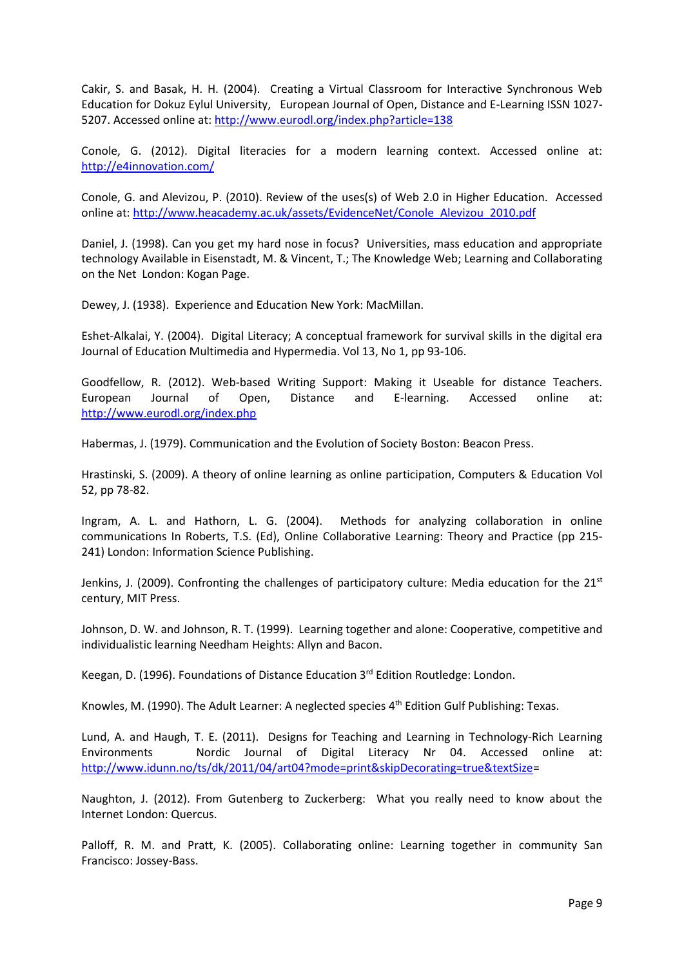Cakir, S. and Basak, H. H. (2004). Creating a Virtual Classroom for Interactive Synchronous Web Education for Dokuz Eylul University, European Journal of Open, Distance and E-Learning ISSN 1027- 5207. Accessed online at[: http://www.eurodl.org/index.php?article=138](http://www.eurodl.org/index.php?article=138) 

Conole, G. (2012). Digital literacies for a modern learning context. Accessed online at: <http://e4innovation.com/>

Conole, G. and Alevizou, P. (2010). Review of the uses(s) of Web 2.0 in Higher Education. Accessed online at[: http://www.heacademy.ac.uk/assets/EvidenceNet/Conole\\_Alevizou\\_2010.pdf](http://www.heacademy.ac.uk/assets/EvidenceNet/Conole_Alevizou_2010.pdf)

Daniel, J. (1998). Can you get my hard nose in focus? Universities, mass education and appropriate technology Available in Eisenstadt, M. & Vincent, T.; The Knowledge Web; Learning and Collaborating on the Net London: Kogan Page.

Dewey, J. (1938). Experience and Education New York: MacMillan.

Eshet-Alkalai, Y. (2004). Digital Literacy; A conceptual framework for survival skills in the digital era Journal of Education Multimedia and Hypermedia. Vol 13, No 1, pp 93-106.

Goodfellow, R. (2012). Web-based Writing Support: Making it Useable for distance Teachers. European Journal of Open, Distance and E-learning. Accessed online at: <http://www.eurodl.org/index.php>

Habermas, J. (1979). Communication and the Evolution of Society Boston: Beacon Press.

Hrastinski, S. (2009). A theory of online learning as online participation, Computers & Education Vol 52, pp 78-82.

Ingram, A. L. and Hathorn, L. G. (2004). Methods for analyzing collaboration in online communications In Roberts, T.S. (Ed), Online Collaborative Learning: Theory and Practice (pp 215- 241) London: Information Science Publishing.

Jenkins, J. (2009). Confronting the challenges of participatory culture: Media education for the 21<sup>st</sup> century, MIT Press.

Johnson, D. W. and Johnson, R. T. (1999). Learning together and alone: Cooperative, competitive and individualistic learning Needham Heights: Allyn and Bacon.

Keegan, D. (1996). Foundations of Distance Education 3rd Edition Routledge: London.

Knowles, M. (1990). The Adult Learner: A neglected species 4<sup>th</sup> Edition Gulf Publishing: Texas.

Lund, A. and Haugh, T. E. (2011). Designs for Teaching and Learning in Technology-Rich Learning Environments Nordic Journal of Digital Literacy Nr 04. Accessed online at: [http://www.idunn.no/ts/dk/2011/04/art04?mode=print&skipDecorating=true&textSize=](http://www.idunn.no/ts/dk/2011/04/art04?mode=print&skipDecorating=true&textSize)

Naughton, J. (2012). From Gutenberg to Zuckerberg: What you really need to know about the Internet London: Quercus.

Palloff, R. M. and Pratt, K. (2005). Collaborating online: Learning together in community San Francisco: Jossey-Bass.